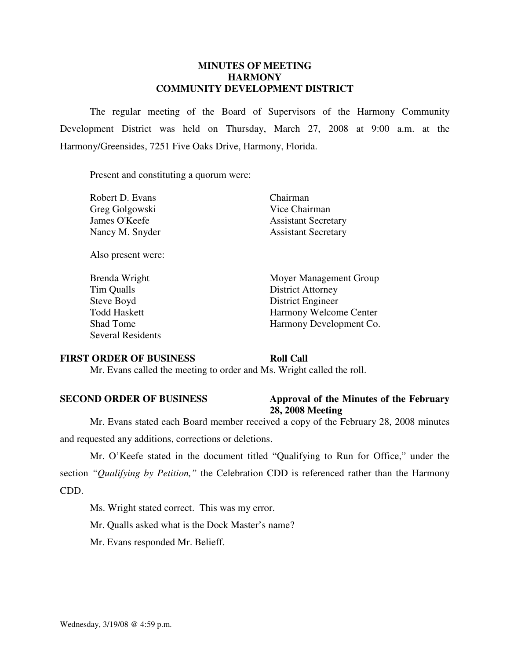### **MINUTES OF MEETING HARMONY COMMUNITY DEVELOPMENT DISTRICT**

 The regular meeting of the Board of Supervisors of the Harmony Community Development District was held on Thursday, March 27, 2008 at 9:00 a.m. at the Harmony/Greensides, 7251 Five Oaks Drive, Harmony, Florida.

Present and constituting a quorum were:

| Robert D. Evans |  |
|-----------------|--|
| Greg Golgowski  |  |
| James O'Keefe   |  |
| Nancy M. Snyder |  |

Also present were:

Tim Qualls District Attorney Steve Boyd District Engineer Several Residents

Chairman Vice Chairman Assistant Secretary Assistant Secretary

Brenda Wright Moyer Management Group Todd Haskett Harmony Welcome Center Shad Tome Harmony Development Co.

### **FIRST ORDER OF BUSINESS Roll Call**

Mr. Evans called the meeting to order and Ms. Wright called the roll.

### **SECOND ORDER OF BUSINESS Approval of the Minutes of the February 28, 2008 Meeting**

 Mr. Evans stated each Board member received a copy of the February 28, 2008 minutes and requested any additions, corrections or deletions.

 Mr. O'Keefe stated in the document titled "Qualifying to Run for Office," under the section *"Qualifying by Petition,"* the Celebration CDD is referenced rather than the Harmony CDD.

Ms. Wright stated correct. This was my error.

Mr. Qualls asked what is the Dock Master's name?

Mr. Evans responded Mr. Belieff.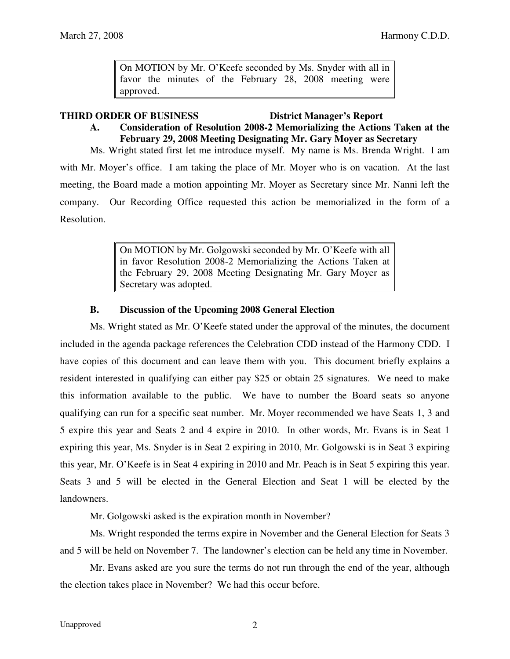On MOTION by Mr. O'Keefe seconded by Ms. Snyder with all in favor the minutes of the February 28, 2008 meeting were approved.

### **THIRD ORDER OF BUSINESS District Manager's Report**

# **A. Consideration of Resolution 2008-2 Memorializing the Actions Taken at the February 29, 2008 Meeting Designating Mr. Gary Moyer as Secretary**

 Ms. Wright stated first let me introduce myself. My name is Ms. Brenda Wright. I am with Mr. Moyer's office. I am taking the place of Mr. Moyer who is on vacation. At the last meeting, the Board made a motion appointing Mr. Moyer as Secretary since Mr. Nanni left the company. Our Recording Office requested this action be memorialized in the form of a Resolution.

> On MOTION by Mr. Golgowski seconded by Mr. O'Keefe with all in favor Resolution 2008-2 Memorializing the Actions Taken at the February 29, 2008 Meeting Designating Mr. Gary Moyer as Secretary was adopted.

## **B. Discussion of the Upcoming 2008 General Election**

 Ms. Wright stated as Mr. O'Keefe stated under the approval of the minutes, the document included in the agenda package references the Celebration CDD instead of the Harmony CDD. I have copies of this document and can leave them with you. This document briefly explains a resident interested in qualifying can either pay \$25 or obtain 25 signatures. We need to make this information available to the public. We have to number the Board seats so anyone qualifying can run for a specific seat number. Mr. Moyer recommended we have Seats 1, 3 and 5 expire this year and Seats 2 and 4 expire in 2010. In other words, Mr. Evans is in Seat 1 expiring this year, Ms. Snyder is in Seat 2 expiring in 2010, Mr. Golgowski is in Seat 3 expiring this year, Mr. O'Keefe is in Seat 4 expiring in 2010 and Mr. Peach is in Seat 5 expiring this year. Seats 3 and 5 will be elected in the General Election and Seat 1 will be elected by the landowners.

Mr. Golgowski asked is the expiration month in November?

 Ms. Wright responded the terms expire in November and the General Election for Seats 3 and 5 will be held on November 7. The landowner's election can be held any time in November.

 Mr. Evans asked are you sure the terms do not run through the end of the year, although the election takes place in November? We had this occur before.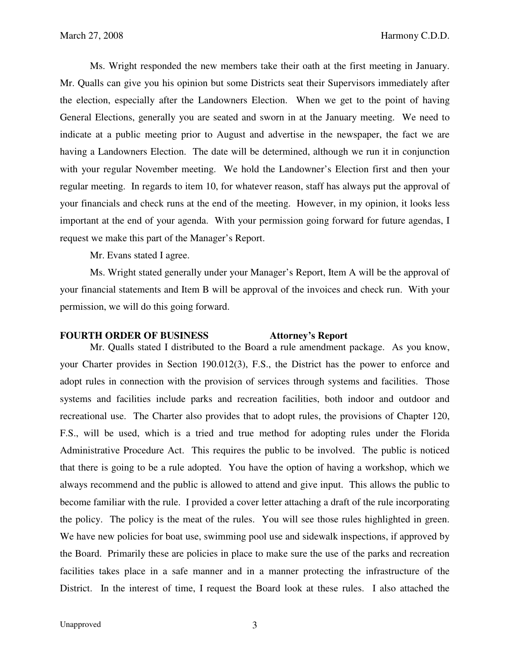Ms. Wright responded the new members take their oath at the first meeting in January. Mr. Qualls can give you his opinion but some Districts seat their Supervisors immediately after the election, especially after the Landowners Election. When we get to the point of having General Elections, generally you are seated and sworn in at the January meeting. We need to indicate at a public meeting prior to August and advertise in the newspaper, the fact we are having a Landowners Election. The date will be determined, although we run it in conjunction with your regular November meeting. We hold the Landowner's Election first and then your regular meeting. In regards to item 10, for whatever reason, staff has always put the approval of your financials and check runs at the end of the meeting. However, in my opinion, it looks less important at the end of your agenda. With your permission going forward for future agendas, I request we make this part of the Manager's Report.

Mr. Evans stated I agree.

 Ms. Wright stated generally under your Manager's Report, Item A will be the approval of your financial statements and Item B will be approval of the invoices and check run. With your permission, we will do this going forward.

### **FOURTH ORDER OF BUSINESS Attorney's Report**

 Mr. Qualls stated I distributed to the Board a rule amendment package. As you know, your Charter provides in Section 190.012(3), F.S., the District has the power to enforce and adopt rules in connection with the provision of services through systems and facilities. Those systems and facilities include parks and recreation facilities, both indoor and outdoor and recreational use. The Charter also provides that to adopt rules, the provisions of Chapter 120, F.S., will be used, which is a tried and true method for adopting rules under the Florida Administrative Procedure Act. This requires the public to be involved. The public is noticed that there is going to be a rule adopted. You have the option of having a workshop, which we always recommend and the public is allowed to attend and give input. This allows the public to become familiar with the rule. I provided a cover letter attaching a draft of the rule incorporating the policy. The policy is the meat of the rules. You will see those rules highlighted in green. We have new policies for boat use, swimming pool use and sidewalk inspections, if approved by the Board. Primarily these are policies in place to make sure the use of the parks and recreation facilities takes place in a safe manner and in a manner protecting the infrastructure of the District. In the interest of time, I request the Board look at these rules. I also attached the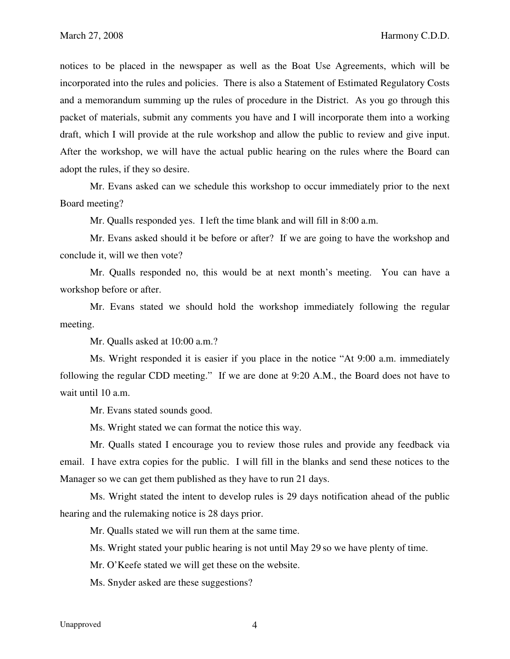notices to be placed in the newspaper as well as the Boat Use Agreements, which will be incorporated into the rules and policies. There is also a Statement of Estimated Regulatory Costs and a memorandum summing up the rules of procedure in the District. As you go through this packet of materials, submit any comments you have and I will incorporate them into a working draft, which I will provide at the rule workshop and allow the public to review and give input. After the workshop, we will have the actual public hearing on the rules where the Board can adopt the rules, if they so desire.

 Mr. Evans asked can we schedule this workshop to occur immediately prior to the next Board meeting?

Mr. Qualls responded yes. I left the time blank and will fill in 8:00 a.m.

 Mr. Evans asked should it be before or after? If we are going to have the workshop and conclude it, will we then vote?

 Mr. Qualls responded no, this would be at next month's meeting. You can have a workshop before or after.

 Mr. Evans stated we should hold the workshop immediately following the regular meeting.

Mr. Qualls asked at 10:00 a.m.?

 Ms. Wright responded it is easier if you place in the notice "At 9:00 a.m. immediately following the regular CDD meeting." If we are done at 9:20 A.M., the Board does not have to wait until 10 a.m.

Mr. Evans stated sounds good.

Ms. Wright stated we can format the notice this way.

 Mr. Qualls stated I encourage you to review those rules and provide any feedback via email. I have extra copies for the public. I will fill in the blanks and send these notices to the Manager so we can get them published as they have to run 21 days.

 Ms. Wright stated the intent to develop rules is 29 days notification ahead of the public hearing and the rulemaking notice is 28 days prior.

Mr. Qualls stated we will run them at the same time.

Ms. Wright stated your public hearing is not until May 29 so we have plenty of time.

Mr. O'Keefe stated we will get these on the website.

Ms. Snyder asked are these suggestions?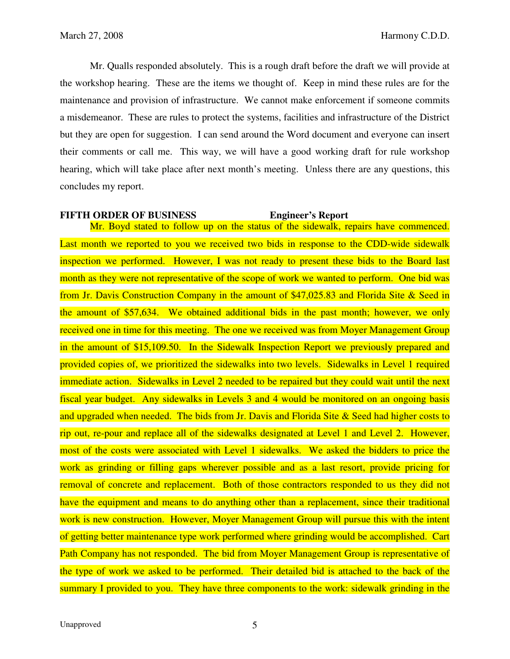Mr. Qualls responded absolutely. This is a rough draft before the draft we will provide at the workshop hearing. These are the items we thought of. Keep in mind these rules are for the maintenance and provision of infrastructure. We cannot make enforcement if someone commits a misdemeanor. These are rules to protect the systems, facilities and infrastructure of the District but they are open for suggestion. I can send around the Word document and everyone can insert their comments or call me. This way, we will have a good working draft for rule workshop hearing, which will take place after next month's meeting. Unless there are any questions, this concludes my report.

### **FIFTH ORDER OF BUSINESS Engineer's Report**

Mr. Boyd stated to follow up on the status of the sidewalk, repairs have commenced. Last month we reported to you we received two bids in response to the CDD-wide sidewalk inspection we performed. However, I was not ready to present these bids to the Board last month as they were not representative of the scope of work we wanted to perform. One bid was from Jr. Davis Construction Company in the amount of \$47,025.83 and Florida Site & Seed in the amount of \$57,634. We obtained additional bids in the past month; however, we only received one in time for this meeting. The one we received was from Moyer Management Group in the amount of \$15,109.50. In the Sidewalk Inspection Report we previously prepared and provided copies of, we prioritized the sidewalks into two levels. Sidewalks in Level 1 required immediate action. Sidewalks in Level 2 needed to be repaired but they could wait until the next fiscal year budget. Any sidewalks in Levels 3 and 4 would be monitored on an ongoing basis and upgraded when needed. The bids from Jr. Davis and Florida Site  $\&$  Seed had higher costs to rip out, re-pour and replace all of the sidewalks designated at Level 1 and Level 2. However, most of the costs were associated with Level 1 sidewalks. We asked the bidders to price the work as grinding or filling gaps wherever possible and as a last resort, provide pricing for removal of concrete and replacement. Both of those contractors responded to us they did not have the equipment and means to do anything other than a replacement, since their traditional work is new construction. However, Moyer Management Group will pursue this with the intent of getting better maintenance type work performed where grinding would be accomplished. Cart Path Company has not responded. The bid from Moyer Management Group is representative of the type of work we asked to be performed. Their detailed bid is attached to the back of the summary I provided to you. They have three components to the work: sidewalk grinding in the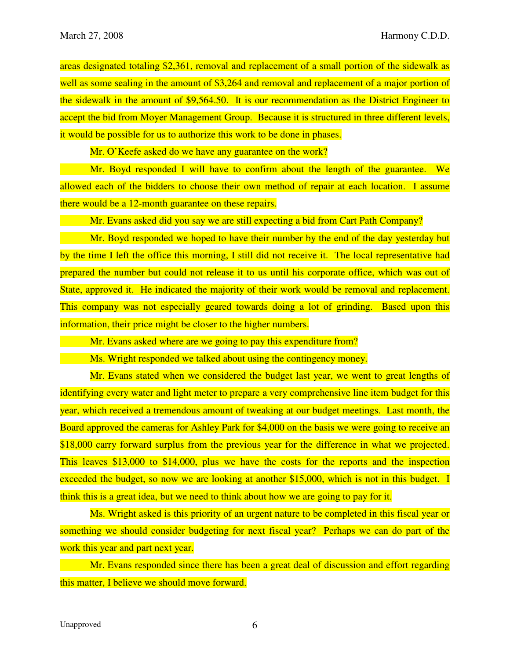areas designated totaling \$2,361, removal and replacement of a small portion of the sidewalk as well as some sealing in the amount of \$3,264 and removal and replacement of a major portion of the sidewalk in the amount of \$9,564.50. It is our recommendation as the District Engineer to accept the bid from Moyer Management Group. Because it is structured in three different levels, it would be possible for us to authorize this work to be done in phases.

Mr. O'Keefe asked do we have any guarantee on the work?

 Mr. Boyd responded I will have to confirm about the length of the guarantee. We allowed each of the bidders to choose their own method of repair at each location. I assume there would be a 12-month guarantee on these repairs.

Mr. Evans asked did you say we are still expecting a bid from Cart Path Company?

 Mr. Boyd responded we hoped to have their number by the end of the day yesterday but by the time I left the office this morning, I still did not receive it. The local representative had prepared the number but could not release it to us until his corporate office, which was out of State, approved it. He indicated the majority of their work would be removal and replacement. This company was not especially geared towards doing a lot of grinding. Based upon this information, their price might be closer to the higher numbers.

Mr. Evans asked where are we going to pay this expenditure from?

Ms. Wright responded we talked about using the contingency money.

 Mr. Evans stated when we considered the budget last year, we went to great lengths of identifying every water and light meter to prepare a very comprehensive line item budget for this year, which received a tremendous amount of tweaking at our budget meetings. Last month, the Board approved the cameras for Ashley Park for \$4,000 on the basis we were going to receive an \$18,000 carry forward surplus from the previous year for the difference in what we projected. This leaves \$13,000 to \$14,000, plus we have the costs for the reports and the inspection exceeded the budget, so now we are looking at another \$15,000, which is not in this budget. I think this is a great idea, but we need to think about how we are going to pay for it.

 Ms. Wright asked is this priority of an urgent nature to be completed in this fiscal year or something we should consider budgeting for next fiscal year? Perhaps we can do part of the work this year and part next year.

 Mr. Evans responded since there has been a great deal of discussion and effort regarding this matter, I believe we should move forward.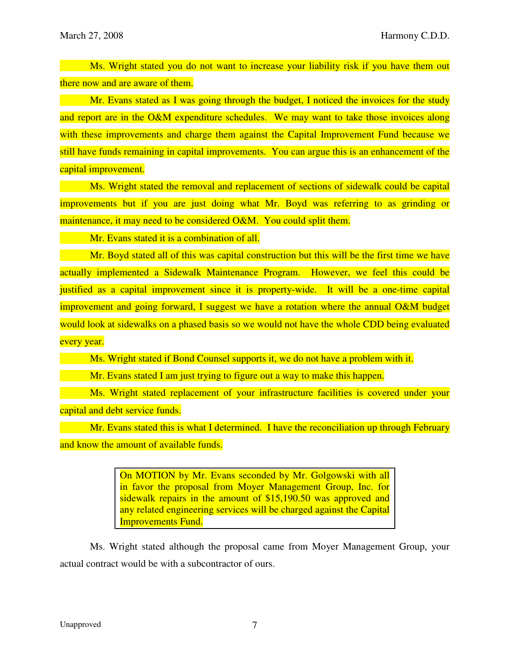Ms. Wright stated you do not want to increase your liability risk if you have them out there now and are aware of them.

 Mr. Evans stated as I was going through the budget, I noticed the invoices for the study and report are in the O&M expenditure schedules. We may want to take those invoices along with these improvements and charge them against the Capital Improvement Fund because we still have funds remaining in capital improvements. You can argue this is an enhancement of the capital improvement.

 Ms. Wright stated the removal and replacement of sections of sidewalk could be capital improvements but if you are just doing what Mr. Boyd was referring to as grinding or maintenance, it may need to be considered O&M. You could split them.

Mr. Evans stated it is a combination of all.

 Mr. Boyd stated all of this was capital construction but this will be the first time we have actually implemented a Sidewalk Maintenance Program. However, we feel this could be justified as a capital improvement since it is property-wide. It will be a one-time capital improvement and going forward, I suggest we have a rotation where the annual O&M budget would look at sidewalks on a phased basis so we would not have the whole CDD being evaluated every year.

Ms. Wright stated if Bond Counsel supports it, we do not have a problem with it.

Mr. Evans stated I am just trying to figure out a way to make this happen.

 Ms. Wright stated replacement of your infrastructure facilities is covered under your capital and debt service funds.

 Mr. Evans stated this is what I determined. I have the reconciliation up through February and know the amount of available funds.

> On MOTION by Mr. Evans seconded by Mr. Golgowski with all in favor the proposal from Moyer Management Group, Inc. for sidewalk repairs in the amount of \$15,190.50 was approved and any related engineering services will be charged against the Capital Improvements Fund.

 Ms. Wright stated although the proposal came from Moyer Management Group, your actual contract would be with a subcontractor of ours.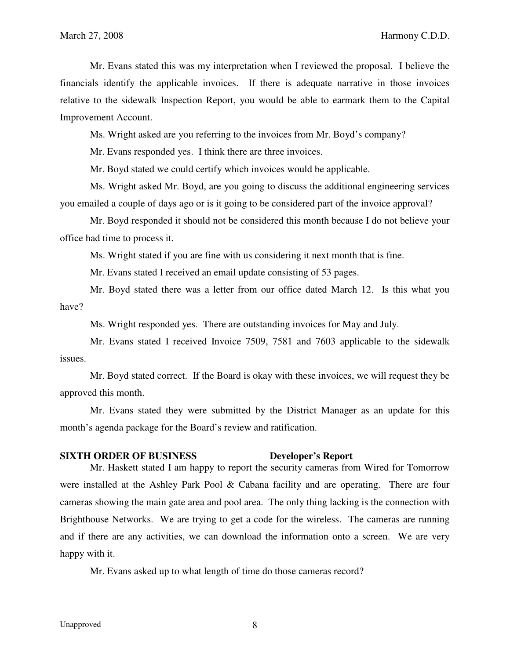Mr. Evans stated this was my interpretation when I reviewed the proposal. I believe the financials identify the applicable invoices. If there is adequate narrative in those invoices relative to the sidewalk Inspection Report, you would be able to earmark them to the Capital Improvement Account.

Ms. Wright asked are you referring to the invoices from Mr. Boyd's company?

Mr. Evans responded yes. I think there are three invoices.

Mr. Boyd stated we could certify which invoices would be applicable.

 Ms. Wright asked Mr. Boyd, are you going to discuss the additional engineering services you emailed a couple of days ago or is it going to be considered part of the invoice approval?

 Mr. Boyd responded it should not be considered this month because I do not believe your office had time to process it.

Ms. Wright stated if you are fine with us considering it next month that is fine.

Mr. Evans stated I received an email update consisting of 53 pages.

 Mr. Boyd stated there was a letter from our office dated March 12. Is this what you have?

Ms. Wright responded yes. There are outstanding invoices for May and July.

 Mr. Evans stated I received Invoice 7509, 7581 and 7603 applicable to the sidewalk issues.

 Mr. Boyd stated correct. If the Board is okay with these invoices, we will request they be approved this month.

 Mr. Evans stated they were submitted by the District Manager as an update for this month's agenda package for the Board's review and ratification.

### **SIXTH ORDER OF BUSINESS Developer's Report**

 Mr. Haskett stated I am happy to report the security cameras from Wired for Tomorrow were installed at the Ashley Park Pool & Cabana facility and are operating. There are four cameras showing the main gate area and pool area. The only thing lacking is the connection with Brighthouse Networks. We are trying to get a code for the wireless. The cameras are running and if there are any activities, we can download the information onto a screen. We are very happy with it.

Mr. Evans asked up to what length of time do those cameras record?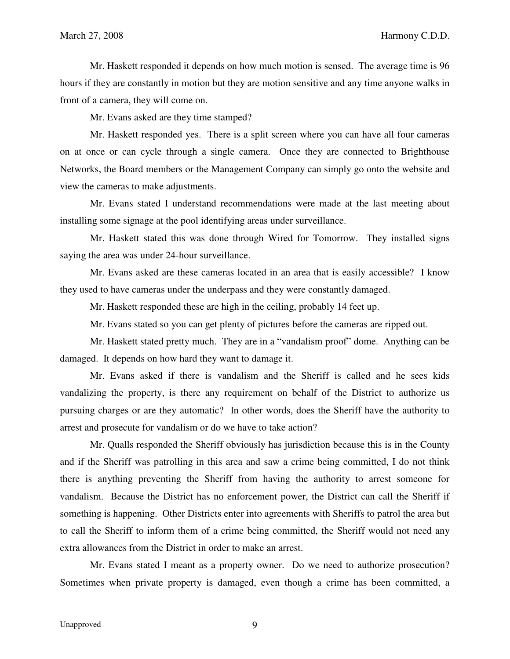Mr. Haskett responded it depends on how much motion is sensed. The average time is 96 hours if they are constantly in motion but they are motion sensitive and any time anyone walks in front of a camera, they will come on.

Mr. Evans asked are they time stamped?

 Mr. Haskett responded yes. There is a split screen where you can have all four cameras on at once or can cycle through a single camera. Once they are connected to Brighthouse Networks, the Board members or the Management Company can simply go onto the website and view the cameras to make adjustments.

 Mr. Evans stated I understand recommendations were made at the last meeting about installing some signage at the pool identifying areas under surveillance.

 Mr. Haskett stated this was done through Wired for Tomorrow. They installed signs saying the area was under 24-hour surveillance.

 Mr. Evans asked are these cameras located in an area that is easily accessible? I know they used to have cameras under the underpass and they were constantly damaged.

Mr. Haskett responded these are high in the ceiling, probably 14 feet up.

Mr. Evans stated so you can get plenty of pictures before the cameras are ripped out.

 Mr. Haskett stated pretty much. They are in a "vandalism proof" dome. Anything can be damaged. It depends on how hard they want to damage it.

 Mr. Evans asked if there is vandalism and the Sheriff is called and he sees kids vandalizing the property, is there any requirement on behalf of the District to authorize us pursuing charges or are they automatic? In other words, does the Sheriff have the authority to arrest and prosecute for vandalism or do we have to take action?

 Mr. Qualls responded the Sheriff obviously has jurisdiction because this is in the County and if the Sheriff was patrolling in this area and saw a crime being committed, I do not think there is anything preventing the Sheriff from having the authority to arrest someone for vandalism. Because the District has no enforcement power, the District can call the Sheriff if something is happening. Other Districts enter into agreements with Sheriffs to patrol the area but to call the Sheriff to inform them of a crime being committed, the Sheriff would not need any extra allowances from the District in order to make an arrest.

 Mr. Evans stated I meant as a property owner. Do we need to authorize prosecution? Sometimes when private property is damaged, even though a crime has been committed, a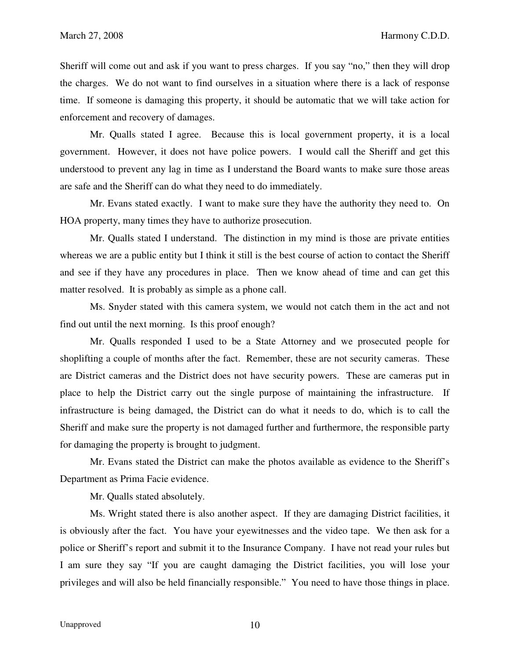Sheriff will come out and ask if you want to press charges. If you say "no," then they will drop the charges. We do not want to find ourselves in a situation where there is a lack of response time. If someone is damaging this property, it should be automatic that we will take action for enforcement and recovery of damages.

 Mr. Qualls stated I agree. Because this is local government property, it is a local government. However, it does not have police powers. I would call the Sheriff and get this understood to prevent any lag in time as I understand the Board wants to make sure those areas are safe and the Sheriff can do what they need to do immediately.

 Mr. Evans stated exactly. I want to make sure they have the authority they need to. On HOA property, many times they have to authorize prosecution.

 Mr. Qualls stated I understand. The distinction in my mind is those are private entities whereas we are a public entity but I think it still is the best course of action to contact the Sheriff and see if they have any procedures in place. Then we know ahead of time and can get this matter resolved. It is probably as simple as a phone call.

 Ms. Snyder stated with this camera system, we would not catch them in the act and not find out until the next morning. Is this proof enough?

 Mr. Qualls responded I used to be a State Attorney and we prosecuted people for shoplifting a couple of months after the fact. Remember, these are not security cameras. These are District cameras and the District does not have security powers. These are cameras put in place to help the District carry out the single purpose of maintaining the infrastructure. If infrastructure is being damaged, the District can do what it needs to do, which is to call the Sheriff and make sure the property is not damaged further and furthermore, the responsible party for damaging the property is brought to judgment.

 Mr. Evans stated the District can make the photos available as evidence to the Sheriff's Department as Prima Facie evidence.

Mr. Qualls stated absolutely.

 Ms. Wright stated there is also another aspect. If they are damaging District facilities, it is obviously after the fact. You have your eyewitnesses and the video tape. We then ask for a police or Sheriff's report and submit it to the Insurance Company. I have not read your rules but I am sure they say "If you are caught damaging the District facilities, you will lose your privileges and will also be held financially responsible." You need to have those things in place.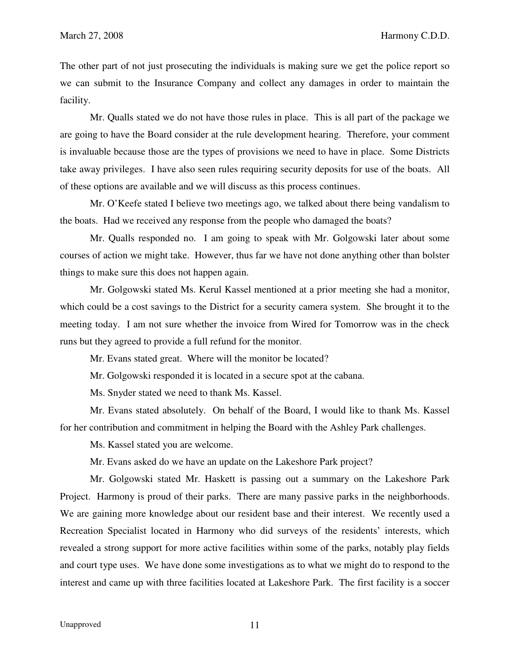The other part of not just prosecuting the individuals is making sure we get the police report so we can submit to the Insurance Company and collect any damages in order to maintain the facility.

 Mr. Qualls stated we do not have those rules in place. This is all part of the package we are going to have the Board consider at the rule development hearing. Therefore, your comment is invaluable because those are the types of provisions we need to have in place. Some Districts take away privileges. I have also seen rules requiring security deposits for use of the boats. All of these options are available and we will discuss as this process continues.

 Mr. O'Keefe stated I believe two meetings ago, we talked about there being vandalism to the boats. Had we received any response from the people who damaged the boats?

 Mr. Qualls responded no. I am going to speak with Mr. Golgowski later about some courses of action we might take. However, thus far we have not done anything other than bolster things to make sure this does not happen again.

 Mr. Golgowski stated Ms. Kerul Kassel mentioned at a prior meeting she had a monitor, which could be a cost savings to the District for a security camera system. She brought it to the meeting today. I am not sure whether the invoice from Wired for Tomorrow was in the check runs but they agreed to provide a full refund for the monitor.

Mr. Evans stated great. Where will the monitor be located?

Mr. Golgowski responded it is located in a secure spot at the cabana.

Ms. Snyder stated we need to thank Ms. Kassel.

 Mr. Evans stated absolutely. On behalf of the Board, I would like to thank Ms. Kassel for her contribution and commitment in helping the Board with the Ashley Park challenges.

Ms. Kassel stated you are welcome.

Mr. Evans asked do we have an update on the Lakeshore Park project?

 Mr. Golgowski stated Mr. Haskett is passing out a summary on the Lakeshore Park Project. Harmony is proud of their parks. There are many passive parks in the neighborhoods. We are gaining more knowledge about our resident base and their interest. We recently used a Recreation Specialist located in Harmony who did surveys of the residents' interests, which revealed a strong support for more active facilities within some of the parks, notably play fields and court type uses. We have done some investigations as to what we might do to respond to the interest and came up with three facilities located at Lakeshore Park. The first facility is a soccer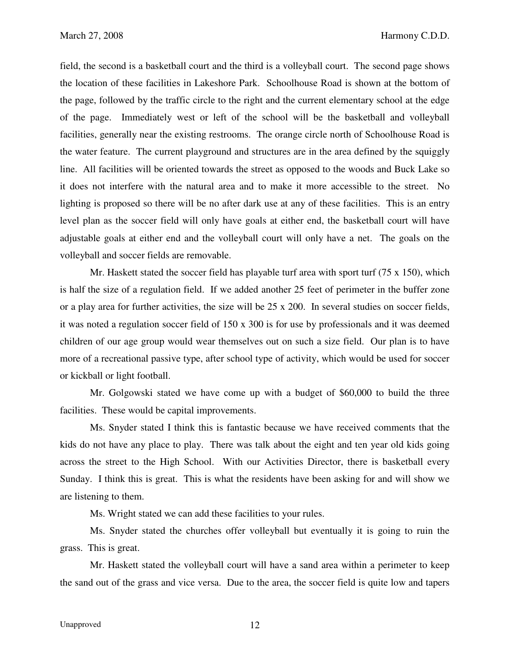field, the second is a basketball court and the third is a volleyball court. The second page shows the location of these facilities in Lakeshore Park. Schoolhouse Road is shown at the bottom of the page, followed by the traffic circle to the right and the current elementary school at the edge of the page. Immediately west or left of the school will be the basketball and volleyball facilities, generally near the existing restrooms. The orange circle north of Schoolhouse Road is the water feature. The current playground and structures are in the area defined by the squiggly line. All facilities will be oriented towards the street as opposed to the woods and Buck Lake so it does not interfere with the natural area and to make it more accessible to the street. No lighting is proposed so there will be no after dark use at any of these facilities. This is an entry level plan as the soccer field will only have goals at either end, the basketball court will have adjustable goals at either end and the volleyball court will only have a net. The goals on the volleyball and soccer fields are removable.

Mr. Haskett stated the soccer field has playable turf area with sport turf (75 x 150), which is half the size of a regulation field. If we added another 25 feet of perimeter in the buffer zone or a play area for further activities, the size will be 25 x 200. In several studies on soccer fields, it was noted a regulation soccer field of 150 x 300 is for use by professionals and it was deemed children of our age group would wear themselves out on such a size field. Our plan is to have more of a recreational passive type, after school type of activity, which would be used for soccer or kickball or light football.

Mr. Golgowski stated we have come up with a budget of \$60,000 to build the three facilities. These would be capital improvements.

 Ms. Snyder stated I think this is fantastic because we have received comments that the kids do not have any place to play. There was talk about the eight and ten year old kids going across the street to the High School. With our Activities Director, there is basketball every Sunday. I think this is great. This is what the residents have been asking for and will show we are listening to them.

Ms. Wright stated we can add these facilities to your rules.

 Ms. Snyder stated the churches offer volleyball but eventually it is going to ruin the grass. This is great.

 Mr. Haskett stated the volleyball court will have a sand area within a perimeter to keep the sand out of the grass and vice versa. Due to the area, the soccer field is quite low and tapers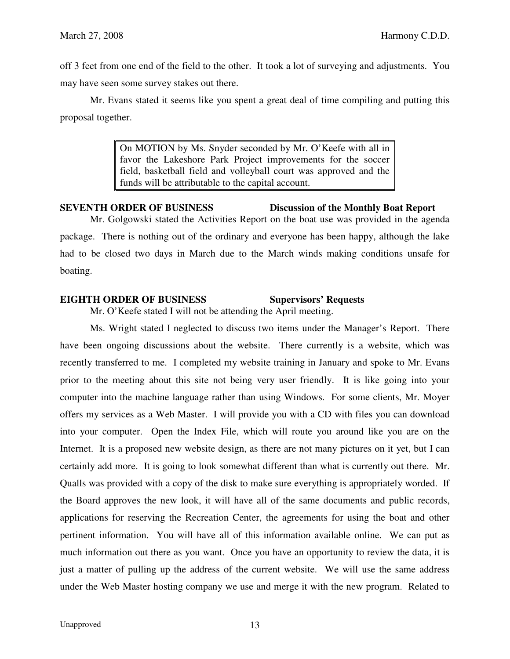off 3 feet from one end of the field to the other. It took a lot of surveying and adjustments. You may have seen some survey stakes out there.

 Mr. Evans stated it seems like you spent a great deal of time compiling and putting this proposal together.

> On MOTION by Ms. Snyder seconded by Mr. O'Keefe with all in favor the Lakeshore Park Project improvements for the soccer field, basketball field and volleyball court was approved and the funds will be attributable to the capital account.

# **SEVENTH ORDER OF BUSINESS Discussion of the Monthly Boat Report**

 Mr. Golgowski stated the Activities Report on the boat use was provided in the agenda package. There is nothing out of the ordinary and everyone has been happy, although the lake had to be closed two days in March due to the March winds making conditions unsafe for boating.

# **EIGHTH ORDER OF BUSINESS** Supervisors' Requests

Mr. O'Keefe stated I will not be attending the April meeting.

 Ms. Wright stated I neglected to discuss two items under the Manager's Report. There have been ongoing discussions about the website. There currently is a website, which was recently transferred to me. I completed my website training in January and spoke to Mr. Evans prior to the meeting about this site not being very user friendly. It is like going into your computer into the machine language rather than using Windows. For some clients, Mr. Moyer offers my services as a Web Master. I will provide you with a CD with files you can download into your computer. Open the Index File, which will route you around like you are on the Internet. It is a proposed new website design, as there are not many pictures on it yet, but I can certainly add more. It is going to look somewhat different than what is currently out there. Mr. Qualls was provided with a copy of the disk to make sure everything is appropriately worded. If the Board approves the new look, it will have all of the same documents and public records, applications for reserving the Recreation Center, the agreements for using the boat and other pertinent information. You will have all of this information available online. We can put as much information out there as you want. Once you have an opportunity to review the data, it is just a matter of pulling up the address of the current website. We will use the same address under the Web Master hosting company we use and merge it with the new program. Related to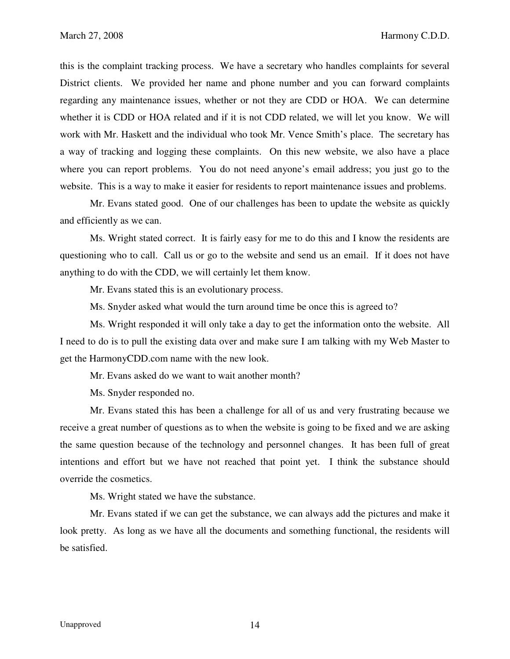this is the complaint tracking process. We have a secretary who handles complaints for several District clients. We provided her name and phone number and you can forward complaints regarding any maintenance issues, whether or not they are CDD or HOA. We can determine whether it is CDD or HOA related and if it is not CDD related, we will let you know. We will work with Mr. Haskett and the individual who took Mr. Vence Smith's place. The secretary has a way of tracking and logging these complaints. On this new website, we also have a place where you can report problems. You do not need anyone's email address; you just go to the website. This is a way to make it easier for residents to report maintenance issues and problems.

 Mr. Evans stated good. One of our challenges has been to update the website as quickly and efficiently as we can.

 Ms. Wright stated correct. It is fairly easy for me to do this and I know the residents are questioning who to call. Call us or go to the website and send us an email. If it does not have anything to do with the CDD, we will certainly let them know.

Mr. Evans stated this is an evolutionary process.

Ms. Snyder asked what would the turn around time be once this is agreed to?

 Ms. Wright responded it will only take a day to get the information onto the website. All I need to do is to pull the existing data over and make sure I am talking with my Web Master to get the HarmonyCDD.com name with the new look.

Mr. Evans asked do we want to wait another month?

Ms. Snyder responded no.

 Mr. Evans stated this has been a challenge for all of us and very frustrating because we receive a great number of questions as to when the website is going to be fixed and we are asking the same question because of the technology and personnel changes. It has been full of great intentions and effort but we have not reached that point yet. I think the substance should override the cosmetics.

Ms. Wright stated we have the substance.

 Mr. Evans stated if we can get the substance, we can always add the pictures and make it look pretty. As long as we have all the documents and something functional, the residents will be satisfied.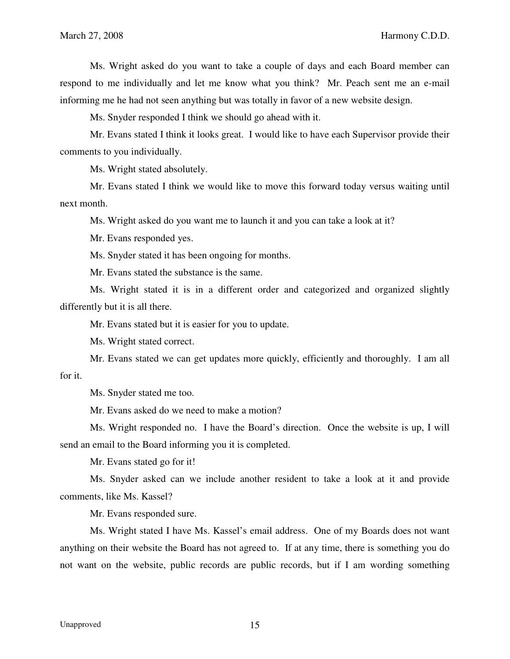Ms. Wright asked do you want to take a couple of days and each Board member can respond to me individually and let me know what you think? Mr. Peach sent me an e-mail informing me he had not seen anything but was totally in favor of a new website design.

Ms. Snyder responded I think we should go ahead with it.

 Mr. Evans stated I think it looks great. I would like to have each Supervisor provide their comments to you individually.

Ms. Wright stated absolutely.

 Mr. Evans stated I think we would like to move this forward today versus waiting until next month.

Ms. Wright asked do you want me to launch it and you can take a look at it?

Mr. Evans responded yes.

Ms. Snyder stated it has been ongoing for months.

Mr. Evans stated the substance is the same.

 Ms. Wright stated it is in a different order and categorized and organized slightly differently but it is all there.

Mr. Evans stated but it is easier for you to update.

Ms. Wright stated correct.

 Mr. Evans stated we can get updates more quickly, efficiently and thoroughly. I am all for it.

Ms. Snyder stated me too.

Mr. Evans asked do we need to make a motion?

 Ms. Wright responded no. I have the Board's direction. Once the website is up, I will send an email to the Board informing you it is completed.

Mr. Evans stated go for it!

 Ms. Snyder asked can we include another resident to take a look at it and provide comments, like Ms. Kassel?

Mr. Evans responded sure.

 Ms. Wright stated I have Ms. Kassel's email address. One of my Boards does not want anything on their website the Board has not agreed to. If at any time, there is something you do not want on the website, public records are public records, but if I am wording something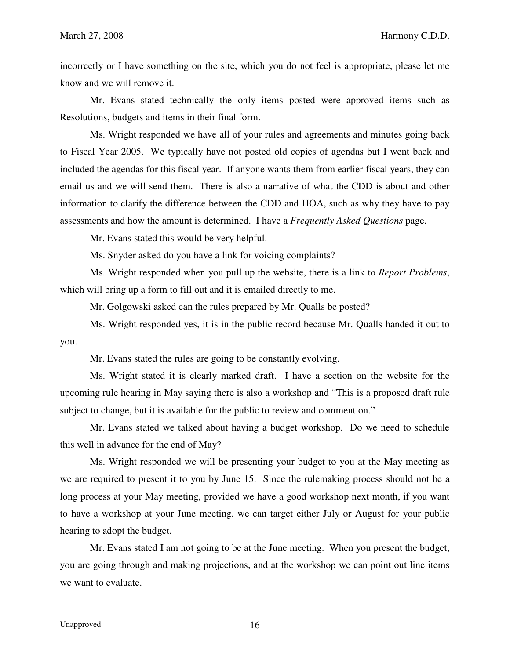incorrectly or I have something on the site, which you do not feel is appropriate, please let me know and we will remove it.

 Mr. Evans stated technically the only items posted were approved items such as Resolutions, budgets and items in their final form.

 Ms. Wright responded we have all of your rules and agreements and minutes going back to Fiscal Year 2005. We typically have not posted old copies of agendas but I went back and included the agendas for this fiscal year. If anyone wants them from earlier fiscal years, they can email us and we will send them. There is also a narrative of what the CDD is about and other information to clarify the difference between the CDD and HOA, such as why they have to pay assessments and how the amount is determined. I have a *Frequently Asked Questions* page.

Mr. Evans stated this would be very helpful.

Ms. Snyder asked do you have a link for voicing complaints?

 Ms. Wright responded when you pull up the website, there is a link to *Report Problems*, which will bring up a form to fill out and it is emailed directly to me.

Mr. Golgowski asked can the rules prepared by Mr. Qualls be posted?

 Ms. Wright responded yes, it is in the public record because Mr. Qualls handed it out to you.

Mr. Evans stated the rules are going to be constantly evolving.

 Ms. Wright stated it is clearly marked draft. I have a section on the website for the upcoming rule hearing in May saying there is also a workshop and "This is a proposed draft rule subject to change, but it is available for the public to review and comment on."

 Mr. Evans stated we talked about having a budget workshop. Do we need to schedule this well in advance for the end of May?

 Ms. Wright responded we will be presenting your budget to you at the May meeting as we are required to present it to you by June 15. Since the rulemaking process should not be a long process at your May meeting, provided we have a good workshop next month, if you want to have a workshop at your June meeting, we can target either July or August for your public hearing to adopt the budget.

 Mr. Evans stated I am not going to be at the June meeting. When you present the budget, you are going through and making projections, and at the workshop we can point out line items we want to evaluate.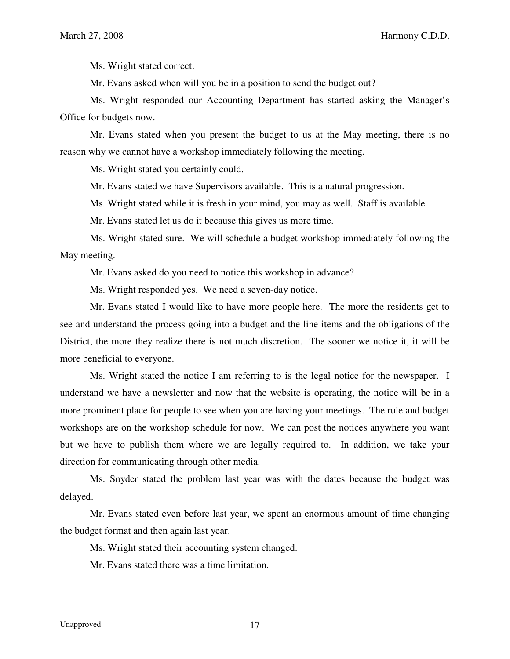Ms. Wright stated correct.

Mr. Evans asked when will you be in a position to send the budget out?

 Ms. Wright responded our Accounting Department has started asking the Manager's Office for budgets now.

 Mr. Evans stated when you present the budget to us at the May meeting, there is no reason why we cannot have a workshop immediately following the meeting.

Ms. Wright stated you certainly could.

Mr. Evans stated we have Supervisors available. This is a natural progression.

Ms. Wright stated while it is fresh in your mind, you may as well. Staff is available.

Mr. Evans stated let us do it because this gives us more time.

 Ms. Wright stated sure. We will schedule a budget workshop immediately following the May meeting.

Mr. Evans asked do you need to notice this workshop in advance?

Ms. Wright responded yes. We need a seven-day notice.

 Mr. Evans stated I would like to have more people here. The more the residents get to see and understand the process going into a budget and the line items and the obligations of the District, the more they realize there is not much discretion. The sooner we notice it, it will be more beneficial to everyone.

 Ms. Wright stated the notice I am referring to is the legal notice for the newspaper. I understand we have a newsletter and now that the website is operating, the notice will be in a more prominent place for people to see when you are having your meetings. The rule and budget workshops are on the workshop schedule for now. We can post the notices anywhere you want but we have to publish them where we are legally required to. In addition, we take your direction for communicating through other media.

 Ms. Snyder stated the problem last year was with the dates because the budget was delayed.

 Mr. Evans stated even before last year, we spent an enormous amount of time changing the budget format and then again last year.

Ms. Wright stated their accounting system changed.

Mr. Evans stated there was a time limitation.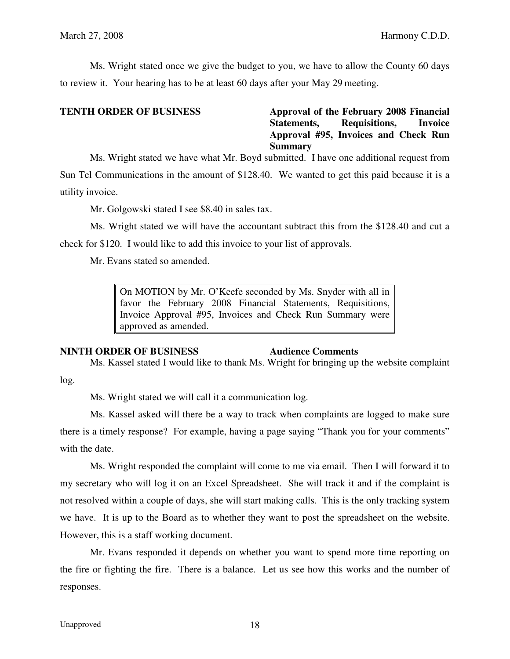Ms. Wright stated once we give the budget to you, we have to allow the County 60 days to review it. Your hearing has to be at least 60 days after your May 29 meeting.

## **TENTH ORDER OF BUSINESS** Approval of the February 2008 Financial **Statements, Requisitions, Invoice Approval #95, Invoices and Check Run Summary**

 Ms. Wright stated we have what Mr. Boyd submitted. I have one additional request from Sun Tel Communications in the amount of \$128.40. We wanted to get this paid because it is a utility invoice.

Mr. Golgowski stated I see \$8.40 in sales tax.

 Ms. Wright stated we will have the accountant subtract this from the \$128.40 and cut a check for \$120. I would like to add this invoice to your list of approvals.

Mr. Evans stated so amended.

On MOTION by Mr. O'Keefe seconded by Ms. Snyder with all in favor the February 2008 Financial Statements, Requisitions, Invoice Approval #95, Invoices and Check Run Summary were approved as amended.

### **NINTH ORDER OF BUSINESS 4udience Comments**

 Ms. Kassel stated I would like to thank Ms. Wright for bringing up the website complaint log.

Ms. Wright stated we will call it a communication log.

 Ms. Kassel asked will there be a way to track when complaints are logged to make sure there is a timely response? For example, having a page saying "Thank you for your comments" with the date.

 Ms. Wright responded the complaint will come to me via email. Then I will forward it to my secretary who will log it on an Excel Spreadsheet. She will track it and if the complaint is not resolved within a couple of days, she will start making calls. This is the only tracking system we have. It is up to the Board as to whether they want to post the spreadsheet on the website. However, this is a staff working document.

 Mr. Evans responded it depends on whether you want to spend more time reporting on the fire or fighting the fire. There is a balance. Let us see how this works and the number of responses.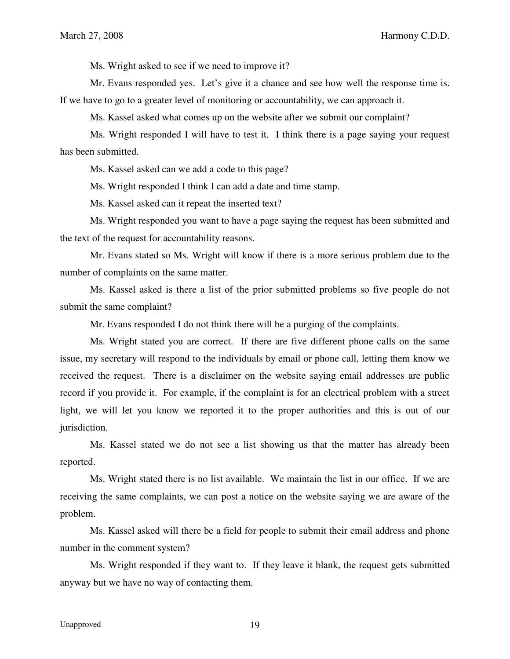Ms. Wright asked to see if we need to improve it?

 Mr. Evans responded yes. Let's give it a chance and see how well the response time is. If we have to go to a greater level of monitoring or accountability, we can approach it.

Ms. Kassel asked what comes up on the website after we submit our complaint?

 Ms. Wright responded I will have to test it. I think there is a page saying your request has been submitted.

Ms. Kassel asked can we add a code to this page?

Ms. Wright responded I think I can add a date and time stamp.

Ms. Kassel asked can it repeat the inserted text?

Ms. Wright responded you want to have a page saying the request has been submitted and the text of the request for accountability reasons.

Mr. Evans stated so Ms. Wright will know if there is a more serious problem due to the number of complaints on the same matter.

Ms. Kassel asked is there a list of the prior submitted problems so five people do not submit the same complaint?

Mr. Evans responded I do not think there will be a purging of the complaints.

 Ms. Wright stated you are correct. If there are five different phone calls on the same issue, my secretary will respond to the individuals by email or phone call, letting them know we received the request. There is a disclaimer on the website saying email addresses are public record if you provide it. For example, if the complaint is for an electrical problem with a street light, we will let you know we reported it to the proper authorities and this is out of our jurisdiction.

 Ms. Kassel stated we do not see a list showing us that the matter has already been reported.

 Ms. Wright stated there is no list available. We maintain the list in our office. If we are receiving the same complaints, we can post a notice on the website saying we are aware of the problem.

 Ms. Kassel asked will there be a field for people to submit their email address and phone number in the comment system?

 Ms. Wright responded if they want to. If they leave it blank, the request gets submitted anyway but we have no way of contacting them.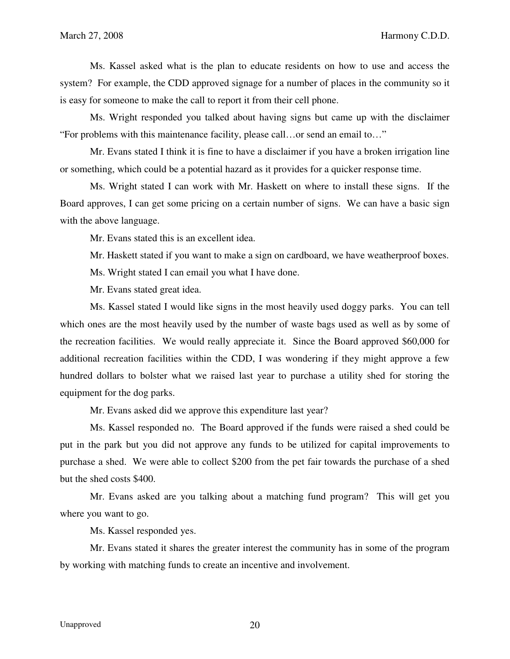Ms. Kassel asked what is the plan to educate residents on how to use and access the system? For example, the CDD approved signage for a number of places in the community so it is easy for someone to make the call to report it from their cell phone.

 Ms. Wright responded you talked about having signs but came up with the disclaimer "For problems with this maintenance facility, please call…or send an email to…"

 Mr. Evans stated I think it is fine to have a disclaimer if you have a broken irrigation line or something, which could be a potential hazard as it provides for a quicker response time.

 Ms. Wright stated I can work with Mr. Haskett on where to install these signs. If the Board approves, I can get some pricing on a certain number of signs. We can have a basic sign with the above language.

Mr. Evans stated this is an excellent idea.

Mr. Haskett stated if you want to make a sign on cardboard, we have weatherproof boxes.

Ms. Wright stated I can email you what I have done.

Mr. Evans stated great idea.

 Ms. Kassel stated I would like signs in the most heavily used doggy parks. You can tell which ones are the most heavily used by the number of waste bags used as well as by some of the recreation facilities. We would really appreciate it. Since the Board approved \$60,000 for additional recreation facilities within the CDD, I was wondering if they might approve a few hundred dollars to bolster what we raised last year to purchase a utility shed for storing the equipment for the dog parks.

Mr. Evans asked did we approve this expenditure last year?

 Ms. Kassel responded no. The Board approved if the funds were raised a shed could be put in the park but you did not approve any funds to be utilized for capital improvements to purchase a shed. We were able to collect \$200 from the pet fair towards the purchase of a shed but the shed costs \$400.

 Mr. Evans asked are you talking about a matching fund program? This will get you where you want to go.

Ms. Kassel responded yes.

 Mr. Evans stated it shares the greater interest the community has in some of the program by working with matching funds to create an incentive and involvement.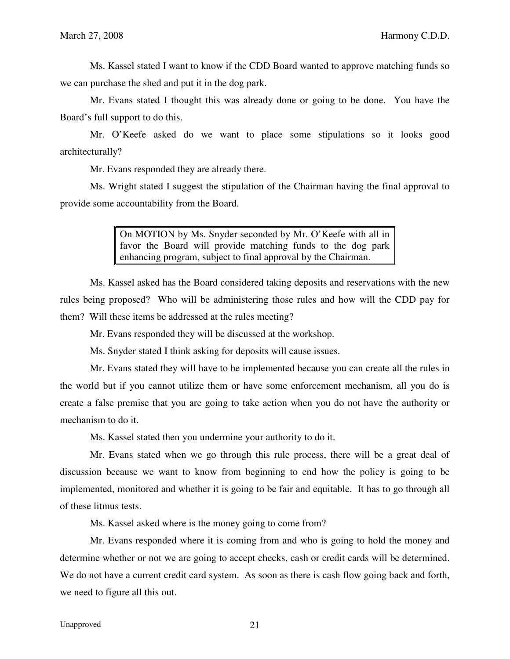Ms. Kassel stated I want to know if the CDD Board wanted to approve matching funds so we can purchase the shed and put it in the dog park.

 Mr. Evans stated I thought this was already done or going to be done. You have the Board's full support to do this.

 Mr. O'Keefe asked do we want to place some stipulations so it looks good architecturally?

Mr. Evans responded they are already there.

 Ms. Wright stated I suggest the stipulation of the Chairman having the final approval to provide some accountability from the Board.

> On MOTION by Ms. Snyder seconded by Mr. O'Keefe with all in favor the Board will provide matching funds to the dog park enhancing program, subject to final approval by the Chairman.

 Ms. Kassel asked has the Board considered taking deposits and reservations with the new rules being proposed? Who will be administering those rules and how will the CDD pay for them? Will these items be addressed at the rules meeting?

Mr. Evans responded they will be discussed at the workshop.

Ms. Snyder stated I think asking for deposits will cause issues.

 Mr. Evans stated they will have to be implemented because you can create all the rules in the world but if you cannot utilize them or have some enforcement mechanism, all you do is create a false premise that you are going to take action when you do not have the authority or mechanism to do it.

Ms. Kassel stated then you undermine your authority to do it.

 Mr. Evans stated when we go through this rule process, there will be a great deal of discussion because we want to know from beginning to end how the policy is going to be implemented, monitored and whether it is going to be fair and equitable. It has to go through all of these litmus tests.

Ms. Kassel asked where is the money going to come from?

 Mr. Evans responded where it is coming from and who is going to hold the money and determine whether or not we are going to accept checks, cash or credit cards will be determined. We do not have a current credit card system. As soon as there is cash flow going back and forth, we need to figure all this out.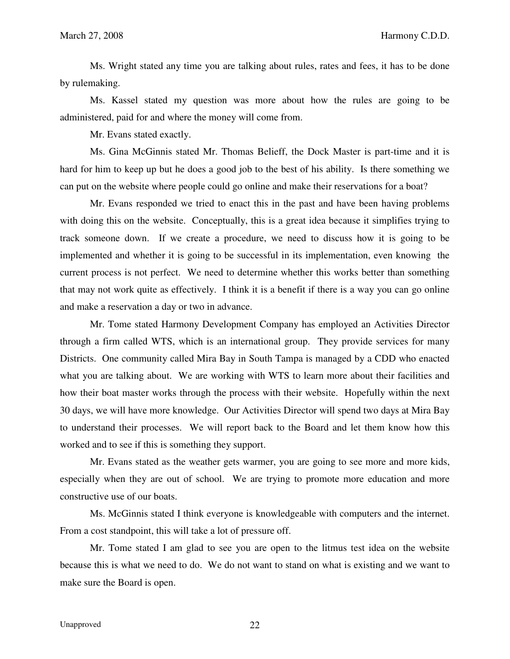Ms. Wright stated any time you are talking about rules, rates and fees, it has to be done by rulemaking.

 Ms. Kassel stated my question was more about how the rules are going to be administered, paid for and where the money will come from.

Mr. Evans stated exactly.

 Ms. Gina McGinnis stated Mr. Thomas Belieff, the Dock Master is part-time and it is hard for him to keep up but he does a good job to the best of his ability. Is there something we can put on the website where people could go online and make their reservations for a boat?

 Mr. Evans responded we tried to enact this in the past and have been having problems with doing this on the website. Conceptually, this is a great idea because it simplifies trying to track someone down. If we create a procedure, we need to discuss how it is going to be implemented and whether it is going to be successful in its implementation, even knowing the current process is not perfect. We need to determine whether this works better than something that may not work quite as effectively. I think it is a benefit if there is a way you can go online and make a reservation a day or two in advance.

 Mr. Tome stated Harmony Development Company has employed an Activities Director through a firm called WTS, which is an international group. They provide services for many Districts. One community called Mira Bay in South Tampa is managed by a CDD who enacted what you are talking about. We are working with WTS to learn more about their facilities and how their boat master works through the process with their website. Hopefully within the next 30 days, we will have more knowledge. Our Activities Director will spend two days at Mira Bay to understand their processes. We will report back to the Board and let them know how this worked and to see if this is something they support.

 Mr. Evans stated as the weather gets warmer, you are going to see more and more kids, especially when they are out of school. We are trying to promote more education and more constructive use of our boats.

 Ms. McGinnis stated I think everyone is knowledgeable with computers and the internet. From a cost standpoint, this will take a lot of pressure off.

 Mr. Tome stated I am glad to see you are open to the litmus test idea on the website because this is what we need to do. We do not want to stand on what is existing and we want to make sure the Board is open.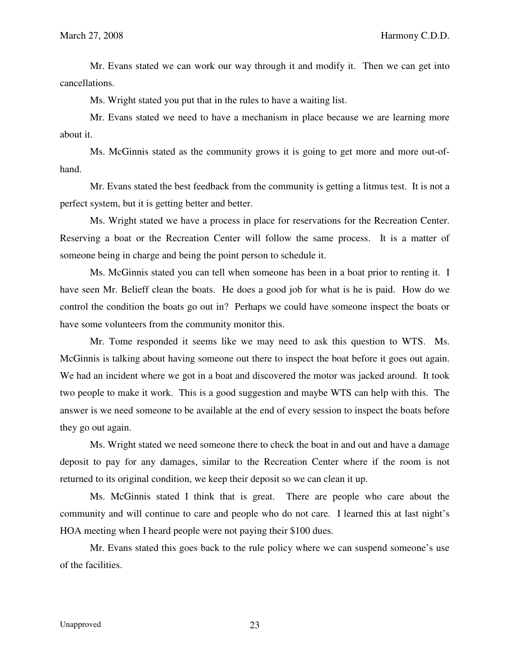Mr. Evans stated we can work our way through it and modify it. Then we can get into cancellations.

Ms. Wright stated you put that in the rules to have a waiting list.

 Mr. Evans stated we need to have a mechanism in place because we are learning more about it.

 Ms. McGinnis stated as the community grows it is going to get more and more out-ofhand.

 Mr. Evans stated the best feedback from the community is getting a litmus test. It is not a perfect system, but it is getting better and better.

 Ms. Wright stated we have a process in place for reservations for the Recreation Center. Reserving a boat or the Recreation Center will follow the same process. It is a matter of someone being in charge and being the point person to schedule it.

 Ms. McGinnis stated you can tell when someone has been in a boat prior to renting it. I have seen Mr. Belieff clean the boats. He does a good job for what is he is paid. How do we control the condition the boats go out in? Perhaps we could have someone inspect the boats or have some volunteers from the community monitor this.

 Mr. Tome responded it seems like we may need to ask this question to WTS. Ms. McGinnis is talking about having someone out there to inspect the boat before it goes out again. We had an incident where we got in a boat and discovered the motor was jacked around. It took two people to make it work. This is a good suggestion and maybe WTS can help with this. The answer is we need someone to be available at the end of every session to inspect the boats before they go out again.

 Ms. Wright stated we need someone there to check the boat in and out and have a damage deposit to pay for any damages, similar to the Recreation Center where if the room is not returned to its original condition, we keep their deposit so we can clean it up.

 Ms. McGinnis stated I think that is great. There are people who care about the community and will continue to care and people who do not care. I learned this at last night's HOA meeting when I heard people were not paying their \$100 dues.

 Mr. Evans stated this goes back to the rule policy where we can suspend someone's use of the facilities.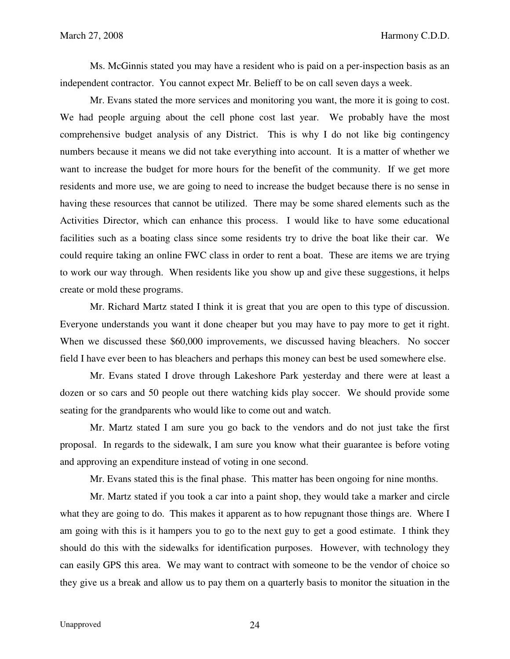Ms. McGinnis stated you may have a resident who is paid on a per-inspection basis as an independent contractor. You cannot expect Mr. Belieff to be on call seven days a week.

 Mr. Evans stated the more services and monitoring you want, the more it is going to cost. We had people arguing about the cell phone cost last year. We probably have the most comprehensive budget analysis of any District. This is why I do not like big contingency numbers because it means we did not take everything into account. It is a matter of whether we want to increase the budget for more hours for the benefit of the community. If we get more residents and more use, we are going to need to increase the budget because there is no sense in having these resources that cannot be utilized. There may be some shared elements such as the Activities Director, which can enhance this process. I would like to have some educational facilities such as a boating class since some residents try to drive the boat like their car. We could require taking an online FWC class in order to rent a boat. These are items we are trying to work our way through. When residents like you show up and give these suggestions, it helps create or mold these programs.

 Mr. Richard Martz stated I think it is great that you are open to this type of discussion. Everyone understands you want it done cheaper but you may have to pay more to get it right. When we discussed these \$60,000 improvements, we discussed having bleachers. No soccer field I have ever been to has bleachers and perhaps this money can best be used somewhere else.

 Mr. Evans stated I drove through Lakeshore Park yesterday and there were at least a dozen or so cars and 50 people out there watching kids play soccer. We should provide some seating for the grandparents who would like to come out and watch.

 Mr. Martz stated I am sure you go back to the vendors and do not just take the first proposal. In regards to the sidewalk, I am sure you know what their guarantee is before voting and approving an expenditure instead of voting in one second.

Mr. Evans stated this is the final phase. This matter has been ongoing for nine months.

 Mr. Martz stated if you took a car into a paint shop, they would take a marker and circle what they are going to do. This makes it apparent as to how repugnant those things are. Where I am going with this is it hampers you to go to the next guy to get a good estimate. I think they should do this with the sidewalks for identification purposes. However, with technology they can easily GPS this area. We may want to contract with someone to be the vendor of choice so they give us a break and allow us to pay them on a quarterly basis to monitor the situation in the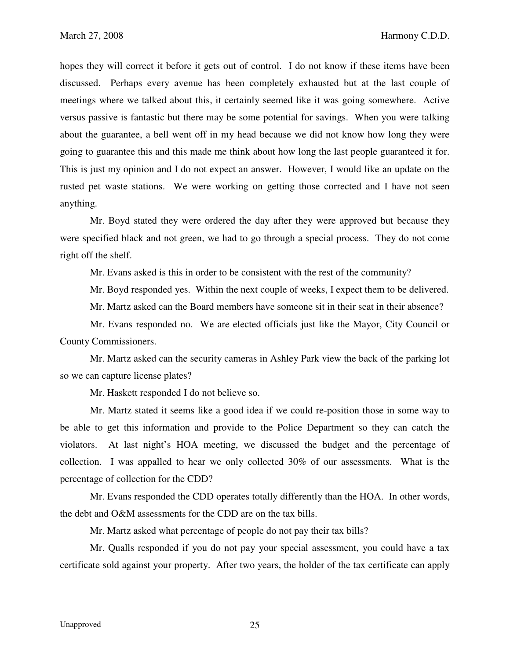hopes they will correct it before it gets out of control. I do not know if these items have been discussed. Perhaps every avenue has been completely exhausted but at the last couple of meetings where we talked about this, it certainly seemed like it was going somewhere. Active versus passive is fantastic but there may be some potential for savings. When you were talking about the guarantee, a bell went off in my head because we did not know how long they were going to guarantee this and this made me think about how long the last people guaranteed it for. This is just my opinion and I do not expect an answer. However, I would like an update on the rusted pet waste stations. We were working on getting those corrected and I have not seen anything.

 Mr. Boyd stated they were ordered the day after they were approved but because they were specified black and not green, we had to go through a special process. They do not come right off the shelf.

Mr. Evans asked is this in order to be consistent with the rest of the community?

Mr. Boyd responded yes. Within the next couple of weeks, I expect them to be delivered.

Mr. Martz asked can the Board members have someone sit in their seat in their absence?

 Mr. Evans responded no. We are elected officials just like the Mayor, City Council or County Commissioners.

 Mr. Martz asked can the security cameras in Ashley Park view the back of the parking lot so we can capture license plates?

Mr. Haskett responded I do not believe so.

 Mr. Martz stated it seems like a good idea if we could re-position those in some way to be able to get this information and provide to the Police Department so they can catch the violators. At last night's HOA meeting, we discussed the budget and the percentage of collection. I was appalled to hear we only collected 30% of our assessments. What is the percentage of collection for the CDD?

 Mr. Evans responded the CDD operates totally differently than the HOA. In other words, the debt and O&M assessments for the CDD are on the tax bills.

Mr. Martz asked what percentage of people do not pay their tax bills?

 Mr. Qualls responded if you do not pay your special assessment, you could have a tax certificate sold against your property. After two years, the holder of the tax certificate can apply